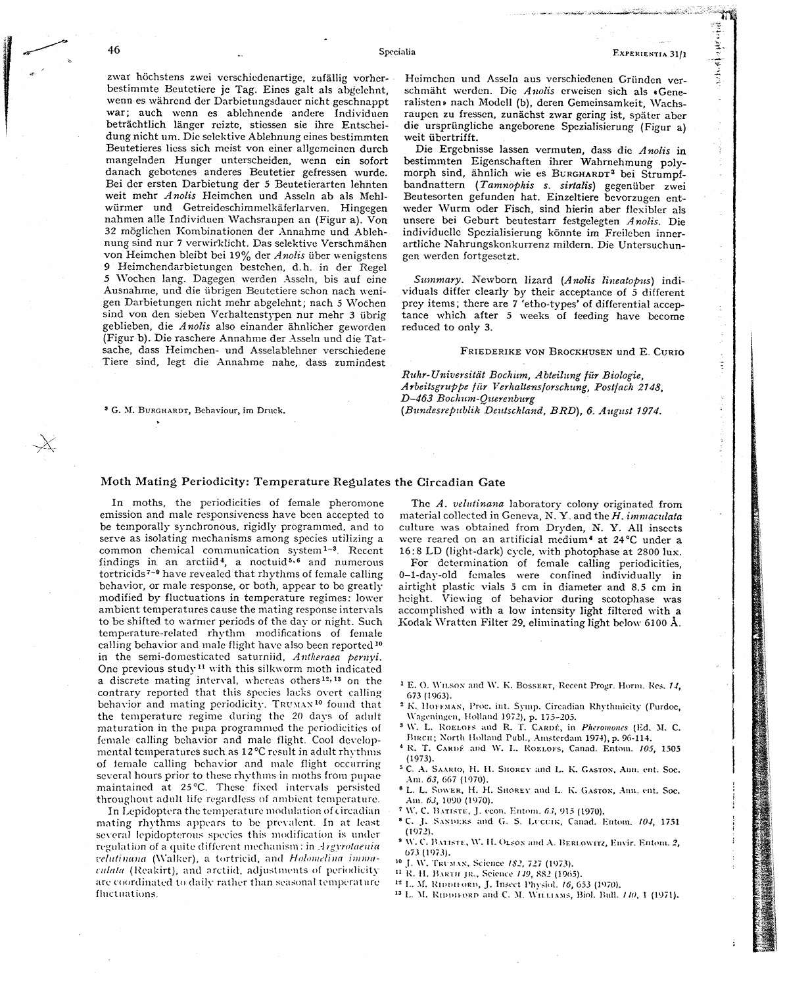zwar höchstens zwei verschiedenartige, zufällig vorherbestimmte Beutetiere je Tag. Eines galt als abgelehnt, wenn es wahrend der Darbietungsdauer nicht geschnappt war; auch wcnn es ablchnende andcre Individuen betrachtlich langcr roiztc, stiessen sie ihrc Entscheidung nicht um. Die sclektive Ablehnung eines bestimmten Beutetieres liess sich meist von einer allgemeinen durch mangelnden Hunger unterscheiden, wenn ein sofort danach gebotenes anderes Beutetier gefressen wurde. Bei der ersten Darbietung der 5 Beutetierarten lehnten weit mehr Anolis Heimchen und Asseln ab als Mehlwürmer und Getreideschimmelkäferlarven. Hingegen nahmen alle Individuen Wachsraupen an (Figur a). Von *32* moglichen Kombinationen der Annahmc und Ablehnung sind nur 7 verwirklicht. Das selektive Verschmähen von Heimchen bleibt bei 19% der Anolis über wenigstens **9** Heimchendarbietungcn bestehen, d.h. in der Regel 5 Wochen lang. Dagegen werden Asseln, bis auf cine Ausnahme, und die iibrigen Beutetiere schon nach venigen Darbietungen nicht mehr abgelehnt, nach 5 Wochen sind von den sieben Vcrhaltenstypen nur mehr **3** iibrig geblieben, die Anolis also einander ähnlicher geworden (Figur b). Die raschere Annahme der Asseln und die Tatsache, dass Heimchen- und Asselablehner verschiedene Tiere sind, legt die Annahme nahe, dass zumindest

*G.* **M.** BURGHARDT, Behaviour, im **Druck.** 

Specialia

 $1.25.761.44$ 

t

Heimchen und Asseln aus verschiedenen Gründen verschmäht werden. Die Anolis erweisen sich als «Generalisten» nach Modell (b), deren Gemeinsamkeit, Wachsraupcn zu fressen, zunachst zwar goring ist, spater aber die urspriingliche angeborcne Spezialisierung (Figur a) weit übertrifft.

Die Ergebnisse lassen vermuten, dass die Anolis in bestimmten Eigenschaften ihrer Wahrnehmung polymorph sind, ähnlich wie es **В**URGHARDT<sup>3</sup> bei Strumpfbandnattern (Tamnophis s. sirtalis) gegenüber zwei Beutesorten gefunden hat. Einzeltiere bevorzugcn entweder Wurm oder Fisch, sind hierin aber flexibler als unsere bei Geburt beutestarr festgelegten Anolis. Die individuclle Spezialisierung könnte im Freileben innerartliche Nahrungskonkurrenz mildern. Die Untersuchungen werden fortgesetzt.

Summary. Newborn lizard (Anolis lineatopus) individuals differ clearly by their acceptance of 5 different prey items, there are 7 'etho-types' of differential acceptance which after 5 weeks of feeding have become reduced to only **3.** 

FRIEDERIKE VON **BROCKHUSEN** und E CURIO

Ruhr-Universität Bochum, Abteilung für Biologie, Arbeitsgruppe für Verhaltensforschung, Postfach 2148, D-463 Bochum-Querenburg (Bti?ziIes~epi~bZzk Deutschland, **BRD),** *6.* August 7974.

## **Moth Mating Periodicity: Temperature Regulates the Circadian Gate**

In moths, the periodicities of female pheromone emission and male responsiveness have been accepted to be temporally synchronous, rigidly programmed, and to serve as isolating mechanisms among species utilizing a common chemical communication  $s$ ystem<sup>1-3</sup> Recent findings in an arctiid<sup>4</sup>, a noctuid<sup>5,6</sup> and numerous tortricids<sup>7-9</sup> have revealed that rhythms of female calling behavior, or male response, or both, appear to be greatly modified by fluctuations in temperature regimes: lower ambient temperatures cause the mating response intervals to be shifted to warmer periods of the day or night. Such tcmperature-related rhythm modifications of female calling behavior and male flight have also been reported<sup>10</sup> in the semi-domesticated saturniid, Antheraea pernyi. One previous study<sup>11</sup> with this silkworm moth indicated a discrete mating interval, whereas others **127 l3** on the contrary reported that this species lacks overt calling behavior and mating periodicity. TRUMAN<sup>10</sup> found that the temperature regime during the 20 days of adult maturation in the pupa programmed the periodicities of female calling behavior and male flight. Cool developmental temperatures such as 12°C result in adult rhythms of temale calling behavior and male flight occurring several hours prior to these rhythms in moths from pupae maintained at 25 °C. These fixed intervals persisted throughout adult life regardless of ambient temperature.

In Lepidoptera the temperature modulation of circadian mating rhythms appears to be prevalent. In at least several lepidopterous species this modification is under regulation of a quite different mechanism: in *Argyrotaenia*  $relutinana$  (Walker), a tortricid, and Holomelina imma $i$ ulata (Reakirt), and arctiid, adjustments of periodicity are coordinated to daily rather than seasonal temperature fluctuations.

The  $A$ . velutinana laboratory colony originated from material collected in Geneva, N.Y. and the *H. immaculata* culture was obtained from Dryden, **N.** *Y.* All insects were reared on an artificial medium<sup>4</sup> at 24°C under a 16:8 LD (light-dark) cycle, with photophase at 2800 lux.

For determination of female calling periodicities, 0-1-dny-old females were confined individually in airtight plastic vials 5 cm in diameter and 8.5 cm in height. Viewing of behavior during scotophase was accomplished with a low intensity light filtered with **a**  .Kodak Wratten Filter 29, eliminating light below 6100 A.

- **<sup>1</sup> E. O. WILSON and W. K. BOSSERT, Recent Progr. Horm. Res. 14, 673 (1063).**
- <sup>2</sup> K. HOFFMAN, Proc. int. Symp. Circadian Rhythmicity (Purdoc, \\"ngt~niiigen, Ho1l;ind **1972),** p. 175-205.
- <sup>3</sup> W. L. ROELOFS and R. T. CARDÉ, in *Pheromones* (Ed. M. C. **~~1~~11;** *North* Holland Pub]., *Amsterdam* 1974), **p.** *96-114.*
- <sup>4</sup> R. T. CARDÉ and W. L. ROELOFS, Canad, Entom. **105**, 1505 **(1973).**
- $^5$  C, A. SAARIO, H. H. SHOREY and L. K. GASTON, Ann. ent. Soc. **Am,** *63,* **66'7** (1970).
- **I-.** L. SO\\ER, H. H. SIIOREV and **I-. ii. GASTON,** Anii.. wt. **Soc. Am,, 03, 1090 (1070).**
- \\". *C.* **13** \-risni. J. **rcon. Entoin., d** È' **915 (1970).**
- **'C.** J. S\NHI:KS **ii~ld** *G,, S,,* **LI'CCIK,** Canad. I~ntoiii. lo-!, 1751 **(1072).**
- $\rm W.$  C. BATISTE, W. H. OLSON and A. BERLOWITZ, Envir. Entom. 2, 073 **(1073).**
- <sup>10</sup> J. W. TRUMAN, Science 182, 727 (1973).
- **<sup>11</sup>I:, !I. KVKIII JR-, Science /i9, SS2 (1905).** 
	- <sup>12</sup> L. M. RIDDIFORD, J. Insect Physiol. 16, 653 (1970).
	- **I,,, M. l<ipru,o~n and** *C.* **M,** \YII **!.,IAN:;,** Biol. hill. **/i(i.** 1 (1971).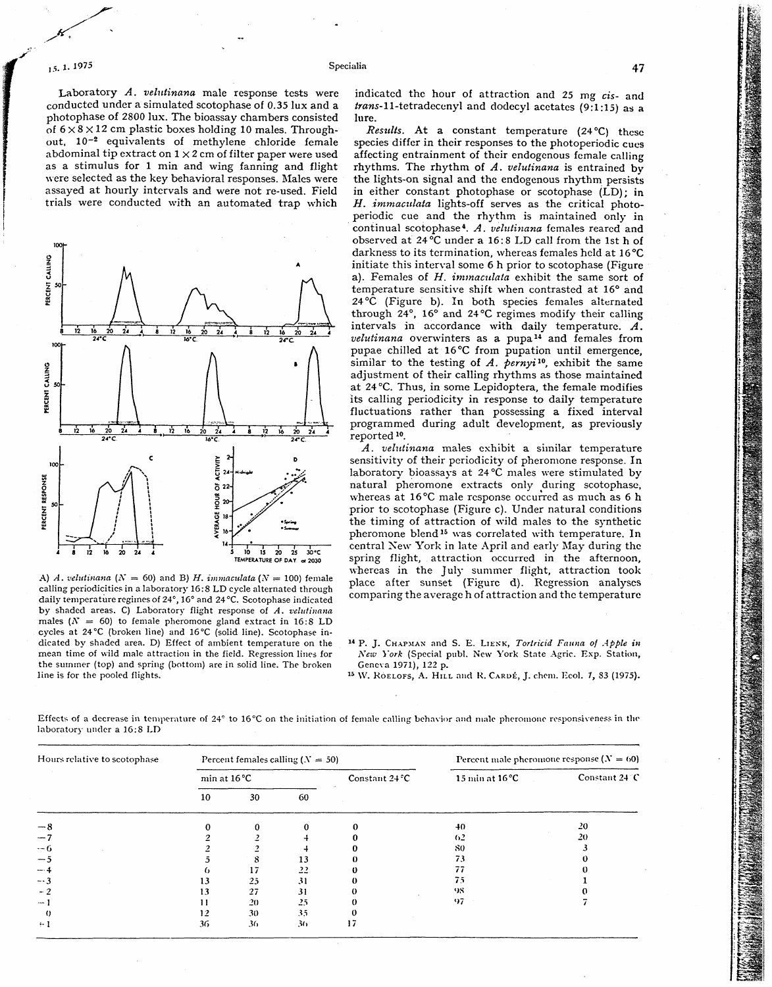Laboratory  $A$ . velutinana male response tests were conducted under a simulated scotophase of 0.35 lux and a photophase of 2800 lux. The bioassay chambers consisted of  $6 \times 8 \times 12$  cm plastic boxes holding 10 males. Throughout,  $10^{-2}$  equivalents of methylene chloride female abdominal tip extract on  $1 \times 2$  cm of filter paper were used as a stimulus for 1 min and wing fanning and flight were selected as the key behavioral responses. Males were assayed at hourly intervals and were not re-used. Field trials were conducted with an automated trap which



A) *A. velutinana*  $(N = 60)$  and B) *H. immaculata*  $(N = 100)$  female calling periodicities in a laboratory 16:s LD cycle alternated through daily temperature regimes of 24°, 16° and 24°C. Scotophase indicated by shaded areas. C) Laboratory flight response of A. velutinana males  $(N = 60)$  to female pheromone gland extract in 16:8 LD cycles at 24°C (broken line) and 16°C (solid line). Scotophase indicated by shaded area. D) Effect of ambient temperature on the mean time of wild male attraction in the field. Regression lines for the summer (top) and spring (bottom) are in solid line. The broken line is for the pooled flights.

indicated the hour of attraction and 25 mg **cis-** and trans-1 l-tetradecenyl and dodecyl acetates **(9:1:15)** as **a**  lure.

Results. At a constant temperature (24 °C) these species differ in their responses to the photoperiodic cues affecting entrainment of their endogenous female calling rhythms. The rhythm of *A.* velutinana is entrained by the lights-on signal and the endogenous rhythm persists in either constant photophase or scotophase (LD); in *H. immaculata* lights-off serves as the critical photoperiodic cue and the rhythm is maintained only in continual scotophase<sup>4</sup>. A. *velulinana* females reared and observed at  $24\text{°C}$  under a 16:8 LD call from the 1st h of darkness to its termination, whereas females held at 16°C initiate this interval some 6 h prior to scotophase (Figure a). Females of H. *immaculata* exhibit the same sort of temperature sensitive shift when contrasted at 16° and 24 **OC** (Figure b). In both species females alternated through  $24^\circ$ ,  $16^\circ$  and  $24^\circ$ C regimes modify their calling intervals in accordance with daily temperature. *A.*  velutinana overwinters as a pupa<sup>14</sup> and females from pupae chilled at 16°C from pupation until emergence, similar to the testing of *A. pernyi*<sup>10</sup>, exhibit the same adjustment of their calling rhythms as those maintained at 24 °C. Thus, in some Lepidoptera, the female modifies its calling periodicity in response to daily temperature fluctuations rather than possessing a fixed interval programmed during adult development, as previously reported **lo.** 

*A. velutinana* males exhibit a similar temperature sensitivity of their periodicity of pheromone response. In laboratory bioassays at  $24^{\circ}$ C males were stimulated by natural pheromone extracts only during scotophase. whereas at 16°C male response occurred as much as 6 h prior to scotophase (Figure *c).* Under natural conditions the timing of attraction of wild males to the synthetic pheromone blend<sup>15</sup> was correlated with temperature. In central Sew York in late April and early May during the spring flight, attraction occurred in the afternoon, whereas in the July summer flight, attraction took place after sunset (Figure d). Regression analyses comparing the average h of attraction and the temperature

**l4** P. J. CHAPMAN and **S.** E. 1-IESK, *Torfricid Fauna* of *Apple* **in**  New York (Special publ. New York State Agric. Exp. Station, Geneva 1971), 122 p.

**l5 W.** ROEL.OFS, A. **HIL,L** and **I<. CARUE,** J. cheni. I<col. 7, **83** (1975).

Effects of a decrease in temperature of  $24^{\circ}$  to  $16^{\circ}$ C on the initiation of female calling behavior and male pheromone responsiveness in the laboratory under **a** 16: S **1.D** 

Specialia

| Hours relative to scotophase | Percent females calling $(N = 50)$ |    |    |                  | Percent male pheromone response $(N = 60)$ |                |
|------------------------------|------------------------------------|----|----|------------------|--------------------------------------------|----------------|
|                              | min at $16^{\circ}$ C              |    |    | Constant $24 °C$ | $15 \text{ min}$ at $16^{\circ}$ C         | Constant 24 °C |
|                              | 10                                 | 30 | 60 |                  |                                            |                |
| $-8$                         |                                    |    |    |                  | $+0$                                       | 20             |
| $-2$                         |                                    |    |    |                  | 62                                         | 20             |
| $-6$                         |                                    |    |    |                  | 80                                         |                |
| $-5$                         |                                    | 8  | 13 |                  | 73                                         |                |
| -- 4                         |                                    | 17 | 22 |                  |                                            |                |
| $-3$                         | 13                                 | 25 | 31 |                  | 75                                         |                |
| $-2$                         | 13                                 | 27 | 31 |                  | 98                                         |                |
| $\cdots$                     | 11                                 | 20 | 25 |                  | 97                                         |                |
| 0                            | 12                                 | 30 | 35 | 0                |                                            |                |
| $\cdot$ 1                    | 36                                 | 36 | 36 | 17               |                                            |                |